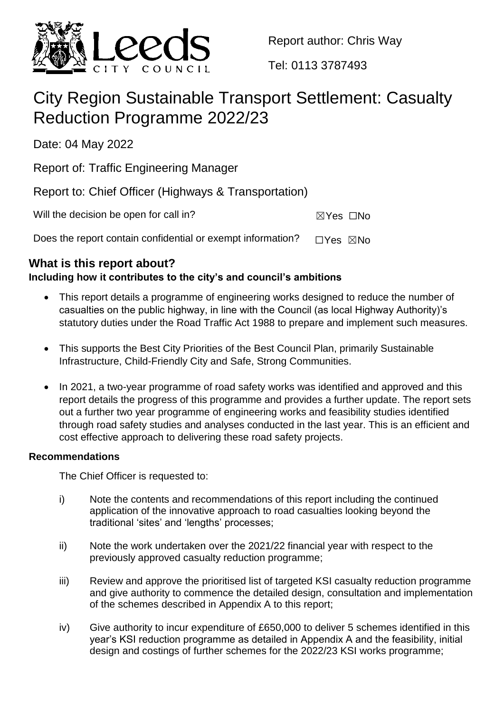

Report author: Chris Way

Tel: 0113 3787493

# City Region Sustainable Transport Settlement: Casualty Reduction Programme 2022/23

Date: 04 May 2022

Report of: Traffic Engineering Manager

Report to: Chief Officer (Highways & Transportation)

| Will the decision be open for call in? | $\boxtimes$ Yes $\Box$ No |  |
|----------------------------------------|---------------------------|--|
|                                        |                           |  |

Does the report contain confidential or exempt information?  $□Yes \times No$ 

## **What is this report about?**

## **Including how it contributes to the city's and council's ambitions**

- This report details a programme of engineering works designed to reduce the number of casualties on the public highway, in line with the Council (as local Highway Authority)'s statutory duties under the Road Traffic Act 1988 to prepare and implement such measures.
- This supports the Best City Priorities of the Best Council Plan, primarily Sustainable Infrastructure, Child-Friendly City and Safe, Strong Communities.
- In 2021, a two-year programme of road safety works was identified and approved and this report details the progress of this programme and provides a further update. The report sets out a further two year programme of engineering works and feasibility studies identified through road safety studies and analyses conducted in the last year. This is an efficient and cost effective approach to delivering these road safety projects.

## **Recommendations**

The Chief Officer is requested to:

- i) Note the contents and recommendations of this report including the continued application of the innovative approach to road casualties looking beyond the traditional 'sites' and 'lengths' processes;
- ii) Note the work undertaken over the 2021/22 financial year with respect to the previously approved casualty reduction programme;
- iii) Review and approve the prioritised list of targeted KSI casualty reduction programme and give authority to commence the detailed design, consultation and implementation of the schemes described in Appendix A to this report;
- iv) Give authority to incur expenditure of £650,000 to deliver 5 schemes identified in this year's KSI reduction programme as detailed in Appendix A and the feasibility, initial design and costings of further schemes for the 2022/23 KSI works programme;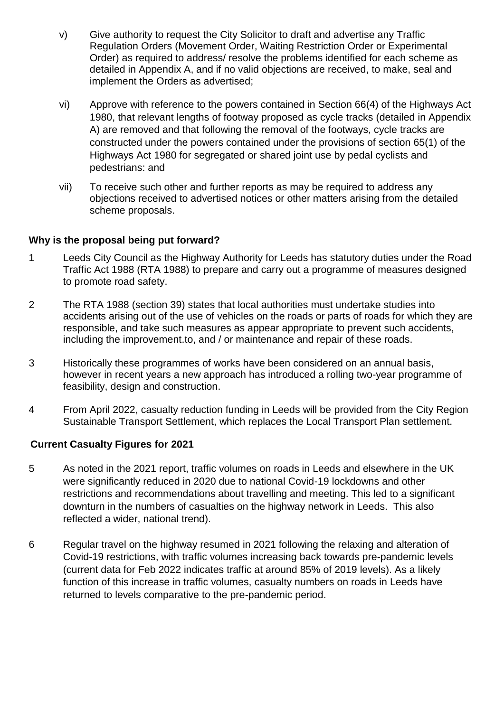- v) Give authority to request the City Solicitor to draft and advertise any Traffic Regulation Orders (Movement Order, Waiting Restriction Order or Experimental Order) as required to address/ resolve the problems identified for each scheme as detailed in Appendix A, and if no valid objections are received, to make, seal and implement the Orders as advertised;
- vi) Approve with reference to the powers contained in Section 66(4) of the Highways Act 1980, that relevant lengths of footway proposed as cycle tracks (detailed in Appendix A) are removed and that following the removal of the footways, cycle tracks are constructed under the powers contained under the provisions of section 65(1) of the Highways Act 1980 for segregated or shared joint use by pedal cyclists and pedestrians: and
- vii) To receive such other and further reports as may be required to address any objections received to advertised notices or other matters arising from the detailed scheme proposals.

#### **Why is the proposal being put forward?**

- 1 Leeds City Council as the Highway Authority for Leeds has statutory duties under the Road Traffic Act 1988 (RTA 1988) to prepare and carry out a programme of measures designed to promote road safety.
- 2 The RTA 1988 (section 39) states that local authorities must undertake studies into accidents arising out of the use of vehicles on the roads or parts of roads for which they are responsible, and take such measures as appear appropriate to prevent such accidents, including the improvement.to, and / or maintenance and repair of these roads.
- 3 Historically these programmes of works have been considered on an annual basis, however in recent years a new approach has introduced a rolling two-year programme of feasibility, design and construction.
- 4 From April 2022, casualty reduction funding in Leeds will be provided from the City Region Sustainable Transport Settlement, which replaces the Local Transport Plan settlement.

#### **Current Casualty Figures for 2021**

- 5 As noted in the 2021 report, traffic volumes on roads in Leeds and elsewhere in the UK were significantly reduced in 2020 due to national Covid-19 lockdowns and other restrictions and recommendations about travelling and meeting. This led to a significant downturn in the numbers of casualties on the highway network in Leeds. This also reflected a wider, national trend).
- 6 Regular travel on the highway resumed in 2021 following the relaxing and alteration of Covid-19 restrictions, with traffic volumes increasing back towards pre-pandemic levels (current data for Feb 2022 indicates traffic at around 85% of 2019 levels). As a likely function of this increase in traffic volumes, casualty numbers on roads in Leeds have returned to levels comparative to the pre-pandemic period.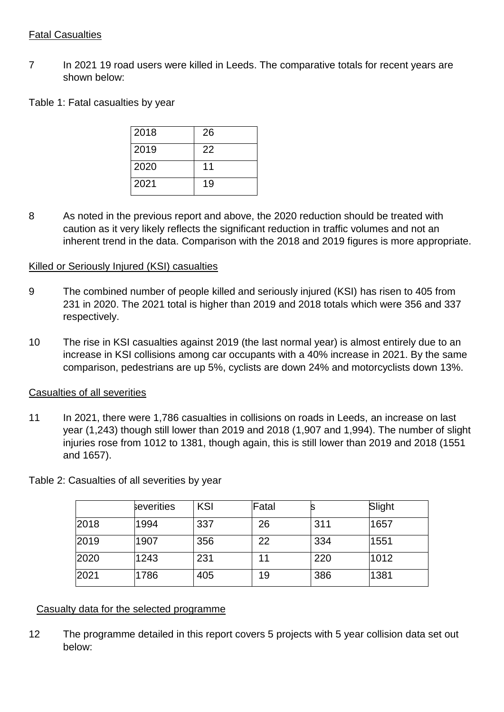#### Fatal Casualties

7 In 2021 19 road users were killed in Leeds. The comparative totals for recent years are shown below:

Table 1: Fatal casualties by year

| 2018 | 26 |
|------|----|
| 2019 | 22 |
| 2020 | 11 |
| 2021 | 19 |

8 As noted in the previous report and above, the 2020 reduction should be treated with caution as it very likely reflects the significant reduction in traffic volumes and not an inherent trend in the data. Comparison with the 2018 and 2019 figures is more appropriate.

#### Killed or Seriously Injured (KSI) casualties

- 9 The combined number of people killed and seriously injured (KSI) has risen to 405 from 231 in 2020. The 2021 total is higher than 2019 and 2018 totals which were 356 and 337 respectively.
- 10 The rise in KSI casualties against 2019 (the last normal year) is almost entirely due to an increase in KSI collisions among car occupants with a 40% increase in 2021. By the same comparison, pedestrians are up 5%, cyclists are down 24% and motorcyclists down 13%.

#### Casualties of all severities

11 In 2021, there were 1,786 casualties in collisions on roads in Leeds, an increase on last year (1,243) though still lower than 2019 and 2018 (1,907 and 1,994). The number of slight injuries rose from 1012 to 1381, though again, this is still lower than 2019 and 2018 (1551 and 1657).

|      | severities | KSI | Fatal | s   | Slight |  |
|------|------------|-----|-------|-----|--------|--|
| 2018 | 1994       | 337 | 26    | 311 | 1657   |  |
| 2019 | 1907       | 356 | 22    | 334 | 1551   |  |
| 2020 | 1243       | 231 | 11    | 220 | 1012   |  |
| 2021 | 1786       | 405 | 19    | 386 | 1381   |  |

Table 2: Casualties of all severities by year

#### Casualty data for the selected programme

12 The programme detailed in this report covers 5 projects with 5 year collision data set out below: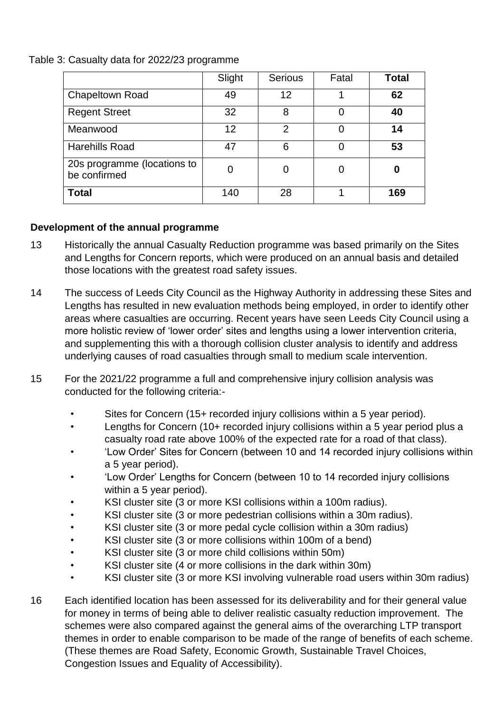Table 3: Casualty data for 2022/23 programme

|                                             | Slight | <b>Serious</b> | Fatal | Total |
|---------------------------------------------|--------|----------------|-------|-------|
| <b>Chapeltown Road</b>                      | 49     | 12             |       | 62    |
| <b>Regent Street</b>                        | 32     | 8              |       | 40    |
| Meanwood                                    | 12     | $\mathcal{P}$  |       | 14    |
| <b>Harehills Road</b>                       | 47     | 6              |       | 53    |
| 20s programme (locations to<br>be confirmed | 0      | 0              |       | 0     |
| <b>Total</b>                                | 140    | 28             |       | 169   |

## **Development of the annual programme**

- 13 Historically the annual Casualty Reduction programme was based primarily on the Sites and Lengths for Concern reports, which were produced on an annual basis and detailed those locations with the greatest road safety issues.
- 14 The success of Leeds City Council as the Highway Authority in addressing these Sites and Lengths has resulted in new evaluation methods being employed, in order to identify other areas where casualties are occurring. Recent years have seen Leeds City Council using a more holistic review of 'lower order' sites and lengths using a lower intervention criteria, and supplementing this with a thorough collision cluster analysis to identify and address underlying causes of road casualties through small to medium scale intervention.
- 15 For the 2021/22 programme a full and comprehensive injury collision analysis was conducted for the following criteria:-
	- Sites for Concern (15+ recorded injury collisions within a 5 year period).
	- Lengths for Concern (10+ recorded injury collisions within a 5 year period plus a casualty road rate above 100% of the expected rate for a road of that class).
	- 'Low Order' Sites for Concern (between 10 and 14 recorded injury collisions within a 5 year period).
	- 'Low Order' Lengths for Concern (between 10 to 14 recorded injury collisions within a 5 year period).
	- KSI cluster site (3 or more KSI collisions within a 100m radius).
	- KSI cluster site (3 or more pedestrian collisions within a 30m radius).
	- KSI cluster site (3 or more pedal cycle collision within a 30m radius)
	- KSI cluster site (3 or more collisions within 100m of a bend)
	- KSI cluster site (3 or more child collisions within 50m)
	- KSI cluster site (4 or more collisions in the dark within 30m)
	- KSI cluster site (3 or more KSI involving vulnerable road users within 30m radius)
- 16 Each identified location has been assessed for its deliverability and for their general value for money in terms of being able to deliver realistic casualty reduction improvement. The schemes were also compared against the general aims of the overarching LTP transport themes in order to enable comparison to be made of the range of benefits of each scheme. (These themes are Road Safety, Economic Growth, Sustainable Travel Choices, Congestion Issues and Equality of Accessibility).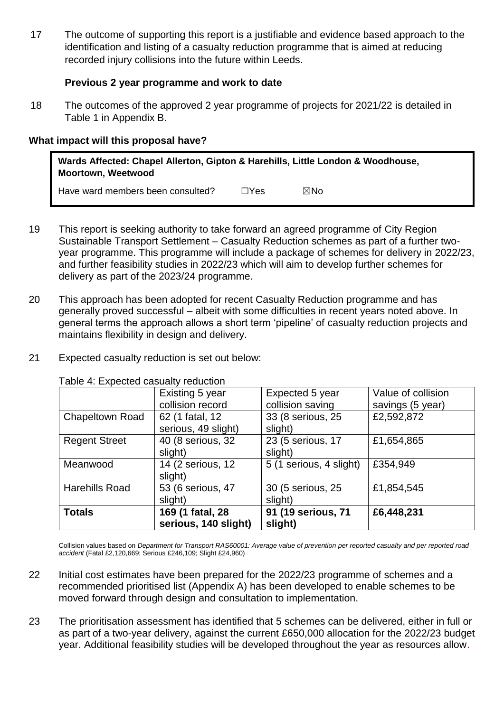17 The outcome of supporting this report is a justifiable and evidence based approach to the identification and listing of a casualty reduction programme that is aimed at reducing recorded injury collisions into the future within Leeds.

#### **Previous 2 year programme and work to date**

18 The outcomes of the approved 2 year programme of projects for 2021/22 is detailed in Table 1 in Appendix B.

#### **What impact will this proposal have?**

| Wards Affected: Chapel Allerton, Gipton & Harehills, Little London & Woodhouse,<br><b>Moortown, Weetwood</b> |            |     |  |  |
|--------------------------------------------------------------------------------------------------------------|------------|-----|--|--|
| Have ward members been consulted?                                                                            | $\Box$ Yes | ⊠No |  |  |

- 19 This report is seeking authority to take forward an agreed programme of City Region Sustainable Transport Settlement – Casualty Reduction schemes as part of a further twoyear programme. This programme will include a package of schemes for delivery in 2022/23, and further feasibility studies in 2022/23 which will aim to develop further schemes for delivery as part of the 2023/24 programme.
- 20 This approach has been adopted for recent Casualty Reduction programme and has generally proved successful – albeit with some difficulties in recent years noted above. In general terms the approach allows a short term 'pipeline' of casualty reduction projects and maintains flexibility in design and delivery.
- 21 Expected casualty reduction is set out below:

Table 4: Expected casualty reduction

|                       | Existing 5 year      | Expected 5 year         | Value of collision |
|-----------------------|----------------------|-------------------------|--------------------|
|                       | collision record     | collision saving        | savings (5 year)   |
| Chapeltown Road       | 62 (1 fatal, 12      | 33 (8 serious, 25       | £2,592,872         |
|                       | serious, 49 slight)  | slight)                 |                    |
| <b>Regent Street</b>  | 40 (8 serious, 32    | 23 (5 serious, 17       | £1,654,865         |
|                       | slight)              | slight)                 |                    |
| Meanwood              | 14 (2 serious, 12    | 5 (1 serious, 4 slight) | £354,949           |
|                       | slight)              |                         |                    |
| <b>Harehills Road</b> | 53 (6 serious, 47    | 30 (5 serious, 25       | £1,854,545         |
|                       | slight)              | slight)                 |                    |
| <b>Totals</b>         | 169 (1 fatal, 28     | 91 (19 serious, 71      | £6,448,231         |
|                       | serious, 140 slight) | slight)                 |                    |

Collision values based on *Department for Transport RAS60001: Average value of prevention per reported casualty and per reported road accident* (Fatal £2,120,669; Serious £246,109; Slight £24,960)

- 22 Initial cost estimates have been prepared for the 2022/23 programme of schemes and a recommended prioritised list (Appendix A) has been developed to enable schemes to be moved forward through design and consultation to implementation.
- 23 The prioritisation assessment has identified that 5 schemes can be delivered, either in full or as part of a two-year delivery, against the current £650,000 allocation for the 2022/23 budget year. Additional feasibility studies will be developed throughout the year as resources allow.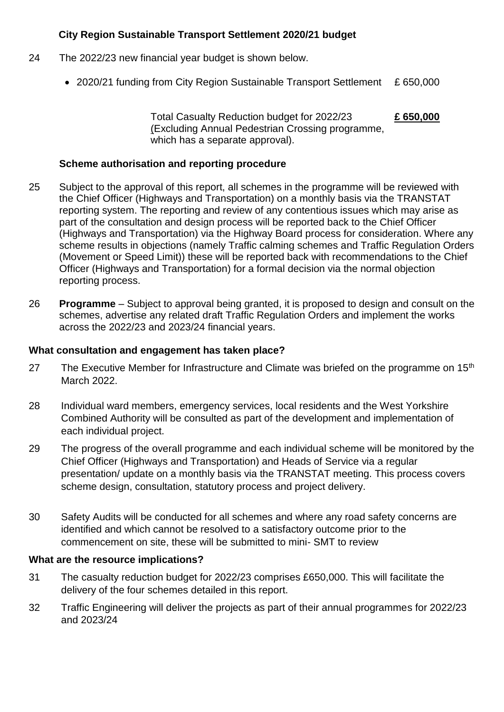#### **City Region Sustainable Transport Settlement 2020/21 budget**

- 24 The 2022/23 new financial year budget is shown below.
	- 2020/21 funding from City Region Sustainable Transport Settlement £ 650,000

Total Casualty Reduction budget for 2022/23 **£ 650,000** (Excluding Annual Pedestrian Crossing programme, which has a separate approval).

#### **Scheme authorisation and reporting procedure**

- 25 Subject to the approval of this report, all schemes in the programme will be reviewed with the Chief Officer (Highways and Transportation) on a monthly basis via the TRANSTAT reporting system. The reporting and review of any contentious issues which may arise as part of the consultation and design process will be reported back to the Chief Officer (Highways and Transportation) via the Highway Board process for consideration. Where any scheme results in objections (namely Traffic calming schemes and Traffic Regulation Orders (Movement or Speed Limit)) these will be reported back with recommendations to the Chief Officer (Highways and Transportation) for a formal decision via the normal objection reporting process.
- 26 **Programme** Subject to approval being granted, it is proposed to design and consult on the schemes, advertise any related draft Traffic Regulation Orders and implement the works across the 2022/23 and 2023/24 financial years.

#### **What consultation and engagement has taken place?**

- 27 The Executive Member for Infrastructure and Climate was briefed on the programme on  $15<sup>th</sup>$ March 2022.
- 28 Individual ward members, emergency services, local residents and the West Yorkshire Combined Authority will be consulted as part of the development and implementation of each individual project.
- 29 The progress of the overall programme and each individual scheme will be monitored by the Chief Officer (Highways and Transportation) and Heads of Service via a regular presentation/ update on a monthly basis via the TRANSTAT meeting. This process covers scheme design, consultation, statutory process and project delivery.
- 30 Safety Audits will be conducted for all schemes and where any road safety concerns are identified and which cannot be resolved to a satisfactory outcome prior to the commencement on site, these will be submitted to mini- SMT to review

#### **What are the resource implications?**

- 31 The casualty reduction budget for 2022/23 comprises £650,000. This will facilitate the delivery of the four schemes detailed in this report.
- 32 Traffic Engineering will deliver the projects as part of their annual programmes for 2022/23 and 2023/24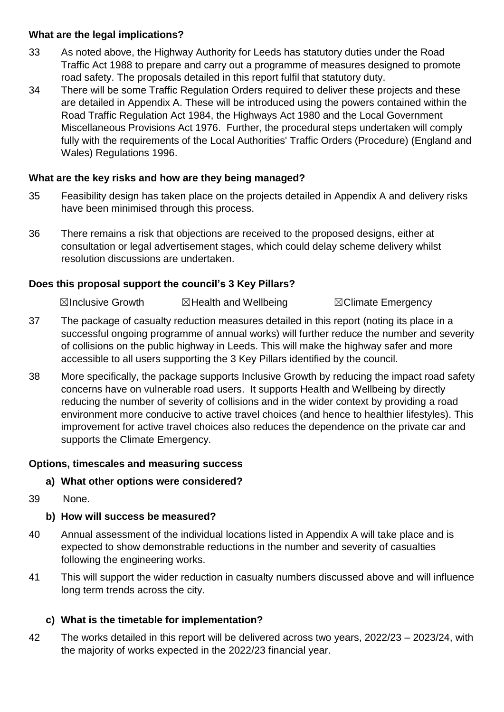#### **What are the legal implications?**

- 33 As noted above, the Highway Authority for Leeds has statutory duties under the Road Traffic Act 1988 to prepare and carry out a programme of measures designed to promote road safety. The proposals detailed in this report fulfil that statutory duty.
- 34 There will be some Traffic Regulation Orders required to deliver these projects and these are detailed in Appendix A. These will be introduced using the powers contained within the Road Traffic Regulation Act 1984, the Highways Act 1980 and the Local Government Miscellaneous Provisions Act 1976. Further, the procedural steps undertaken will comply fully with the requirements of the Local Authorities' Traffic Orders (Procedure) (England and Wales) Regulations 1996.

#### **What are the key risks and how are they being managed?**

- 35 Feasibility design has taken place on the projects detailed in Appendix A and delivery risks have been minimised through this process.
- 36 There remains a risk that objections are received to the proposed designs, either at consultation or legal advertisement stages, which could delay scheme delivery whilst resolution discussions are undertaken.

### **Does this proposal support the council's 3 Key Pillars?**

☒Inclusive Growth ☒Health and Wellbeing ☒Climate Emergency

- 37 The package of casualty reduction measures detailed in this report (noting its place in a successful ongoing programme of annual works) will further reduce the number and severity of collisions on the public highway in Leeds. This will make the highway safer and more accessible to all users supporting the 3 Key Pillars identified by the council.
- 38 More specifically, the package supports Inclusive Growth by reducing the impact road safety concerns have on vulnerable road users. It supports Health and Wellbeing by directly reducing the number of severity of collisions and in the wider context by providing a road environment more conducive to active travel choices (and hence to healthier lifestyles). This improvement for active travel choices also reduces the dependence on the private car and supports the Climate Emergency.

#### **Options, timescales and measuring success**

#### **a) What other options were considered?**

39 None.

## **b) How will success be measured?**

- 40 Annual assessment of the individual locations listed in Appendix A will take place and is expected to show demonstrable reductions in the number and severity of casualties following the engineering works.
- 41 This will support the wider reduction in casualty numbers discussed above and will influence long term trends across the city.

## **c) What is the timetable for implementation?**

42 The works detailed in this report will be delivered across two years, 2022/23 – 2023/24, with the majority of works expected in the 2022/23 financial year.